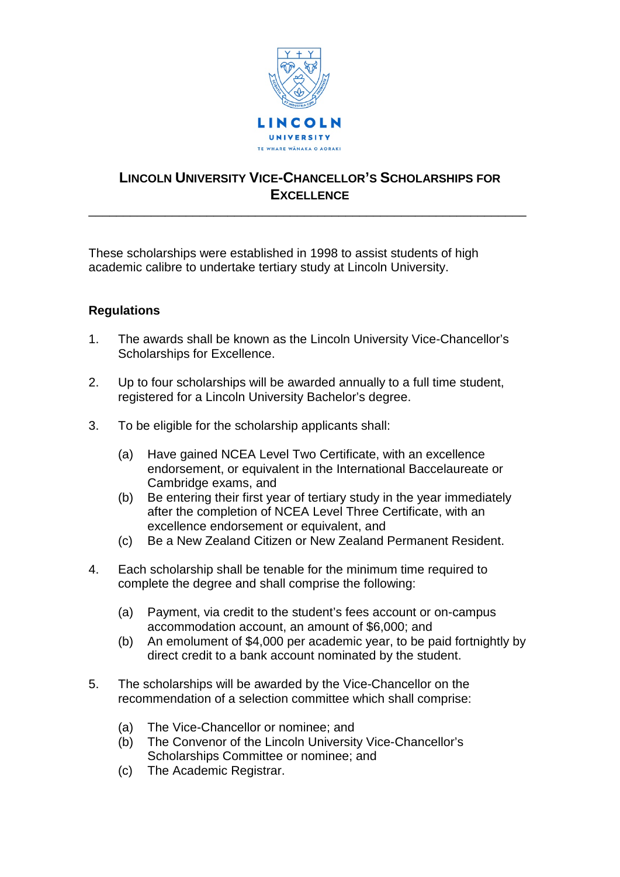

## **LINCOLN UNIVERSITY VICE-CHANCELLOR'S SCHOLARSHIPS FOR EXCELLENCE**

\_\_\_\_\_\_\_\_\_\_\_\_\_\_\_\_\_\_\_\_\_\_\_\_\_\_\_\_\_\_\_\_\_\_\_\_\_\_\_\_\_\_\_\_\_\_\_\_\_\_\_\_\_\_\_\_\_\_\_\_\_\_\_

These scholarships were established in 1998 to assist students of high academic calibre to undertake tertiary study at Lincoln University.

## **Regulations**

- 1. The awards shall be known as the Lincoln University Vice-Chancellor's Scholarships for Excellence.
- 2. Up to four scholarships will be awarded annually to a full time student, registered for a Lincoln University Bachelor's degree.
- 3. To be eligible for the scholarship applicants shall:
	- (a) Have gained NCEA Level Two Certificate, with an excellence endorsement, or equivalent in the International Baccelaureate or Cambridge exams, and
	- (b) Be entering their first year of tertiary study in the year immediately after the completion of NCEA Level Three Certificate, with an excellence endorsement or equivalent, and
	- (c) Be a New Zealand Citizen or New Zealand Permanent Resident.
- 4. Each scholarship shall be tenable for the minimum time required to complete the degree and shall comprise the following:
	- (a) Payment, via credit to the student's fees account or on-campus accommodation account, an amount of \$6,000; and
	- (b) An emolument of \$4,000 per academic year, to be paid fortnightly by direct credit to a bank account nominated by the student.
- 5. The scholarships will be awarded by the Vice-Chancellor on the recommendation of a selection committee which shall comprise:
	- (a) The Vice-Chancellor or nominee; and
	- (b) The Convenor of the Lincoln University Vice-Chancellor's Scholarships Committee or nominee; and
	- (c) The Academic Registrar.